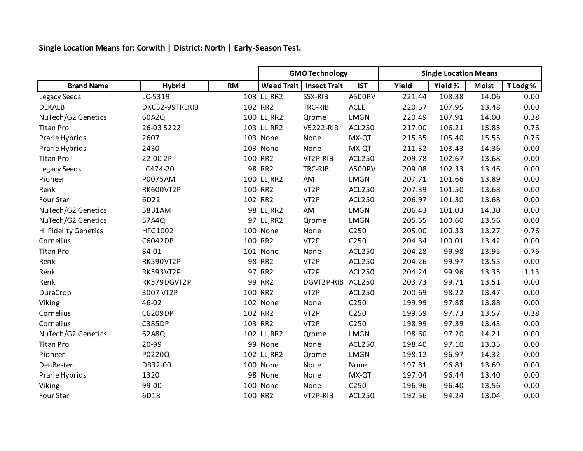**Single Location Means for: Corwith | District: North | Early-Season Test.**

|                      |                |           | <b>GMO Technology</b> |                     |                  | <b>Single Location Means</b> |         |              |          |
|----------------------|----------------|-----------|-----------------------|---------------------|------------------|------------------------------|---------|--------------|----------|
| <b>Brand Name</b>    | <b>Hybrid</b>  | <b>RM</b> | <b>Weed Trait</b>     | <b>Insect Trait</b> | <b>IST</b>       | Yield                        | Yield % | <b>Moist</b> | T Lodg % |
| Legacy Seeds         | LC-5319        |           | 103 LL, RR2           | SSX-RIB             | A500PV           | 221.44                       | 108.38  | 14.06        | 0.00     |
| <b>DEKALB</b>        | DKC52-99TRERIB |           | 102 RR2               | TRC-RIB             | <b>ACLE</b>      | 220.57                       | 107.95  | 13.48        | 0.00     |
| NuTech/G2 Genetics   | 60A2Q          |           | 100 LL, RR2           | Qrome               | <b>LMGN</b>      | 220.49                       | 107.91  | 14.00        | 0.38     |
| <b>Titan Pro</b>     | 26-03 5222     |           | 103 LL, RR2           | V5222-RIB           | ACL250           | 217.00                       | 106.21  | 15.85        | 0.76     |
| Prarie Hybrids       | 2607           |           | 103 None              | None                | MX-QT            | 215.35                       | 105.40  | 15.55        | 0.76     |
| Prarie Hybrids       | 2430           |           | 103 None              | None                | MX-QT            | 211.32                       | 103.43  | 14.36        | 0.00     |
| <b>Titan Pro</b>     | 22-00 2P       |           | 100 RR2               | VT2P-RIB            | ACL250           | 209.78                       | 102.67  | 13.68        | 0.00     |
| Legacy Seeds         | LC474-20       |           | 98 RR2                | TRC-RIB             | <b>A500PV</b>    | 209.08                       | 102.33  | 13.46        | 0.00     |
| Pioneer              | P0075AM        |           | 100 LL, RR2           | AM                  | <b>LMGN</b>      | 207.71                       | 101.66  | 13.89        | 0.00     |
| Renk                 | RK600VT2P      |           | 100 RR2               | VT <sub>2</sub> P   | ACL250           | 207.39                       | 101.50  | 13.68        | 0.00     |
| Four Star            | 6D22           |           | 102 RR2               | VT <sub>2</sub> P   | ACL250           | 206.97                       | 101.30  | 13.68        | 0.00     |
| NuTech/G2 Genetics   | 58B1AM         |           | 98 LL, RR2            | AM                  | <b>LMGN</b>      | 206.43                       | 101.03  | 14.30        | 0.00     |
| NuTech/G2 Genetics   | 57A4Q          |           | 97 LL, RR2            | Qrome               | <b>LMGN</b>      | 205.55                       | 100.60  | 13.56        | 0.00     |
| Hi Fidelity Genetics | HFG1002        |           | 100 None              | None                | C <sub>250</sub> | 205.00                       | 100.33  | 13.27        | 0.76     |
| Cornelius            | C6042DP        |           | 100 RR2               | VT <sub>2</sub> P   | C250             | 204.34                       | 100.01  | 13.42        | 0.00     |
| <b>Titan Pro</b>     | 84-01          |           | 101 None              | None                | <b>ACL250</b>    | 204.28                       | 99.98   | 13.95        | 0.76     |
| Renk                 | RK590VT2P      |           | 98 RR2                | VT <sub>2</sub> P   | ACL250           | 204.26                       | 99.97   | 13.55        | 0.00     |
| Renk                 | RK593VT2P      |           | 97 RR2                | VT <sub>2</sub> P   | <b>ACL250</b>    | 204.24                       | 99.96   | 13.35        | 1.13     |
| Renk                 | RK579DGVT2P    |           | 99 RR2                | DGVT2P-RIB          | <b>ACL250</b>    | 203.73                       | 99.71   | 13.51        | 0.00     |
| DuraCrop             | 3007 VT2P      |           | 100 RR2               | VT <sub>2</sub> P   | <b>ACL250</b>    | 200.69                       | 98.22   | 13.47        | 0.00     |
| Viking               | 46-02          |           | 102 None              | None                | C250             | 199.99                       | 97.88   | 13.88        | 0.00     |
| Cornelius            | C6209DP        |           | 102 RR2               | VT <sub>2</sub> P   | C250             | 199.69                       | 97.73   | 13.57        | 0.38     |
| Cornelius            | <b>C385DP</b>  |           | 103 RR2               | VT <sub>2</sub> P   | C <sub>250</sub> | 198.99                       | 97.39   | 13.43        | 0.00     |
| NuTech/G2 Genetics   | 62A8Q          |           | 102 LL, RR2           | Qrome               | <b>LMGN</b>      | 198.60                       | 97.20   | 14.21        | 0.00     |
| <b>Titan Pro</b>     | 20-99          |           | 99 None               | None                | <b>ACL250</b>    | 198.40                       | 97.10   | 13.35        | 0.00     |
| Pioneer              | P0220Q         |           | 102 LL, RR2           | Qrome               | <b>LMGN</b>      | 198.12                       | 96.97   | 14.32        | 0.00     |
| DenBesten            | DB32-00        |           | 100 None              | None                | None             | 197.81                       | 96.81   | 13.69        | 0.00     |
| Prarie Hybrids       | 1320           |           | 98 None               | None                | MX-QT            | 197.04                       | 96.44   | 13.40        | 0.00     |
| Viking               | 99-00          |           | 100 None              | None                | C <sub>250</sub> | 196.96                       | 96.40   | 13.56        | 0.00     |
| Four Star            | 6D18           |           | 100 RR2               | VT2P-RIB            | <b>ACL250</b>    | 192.56                       | 94.24   | 13.04        | 0.00     |